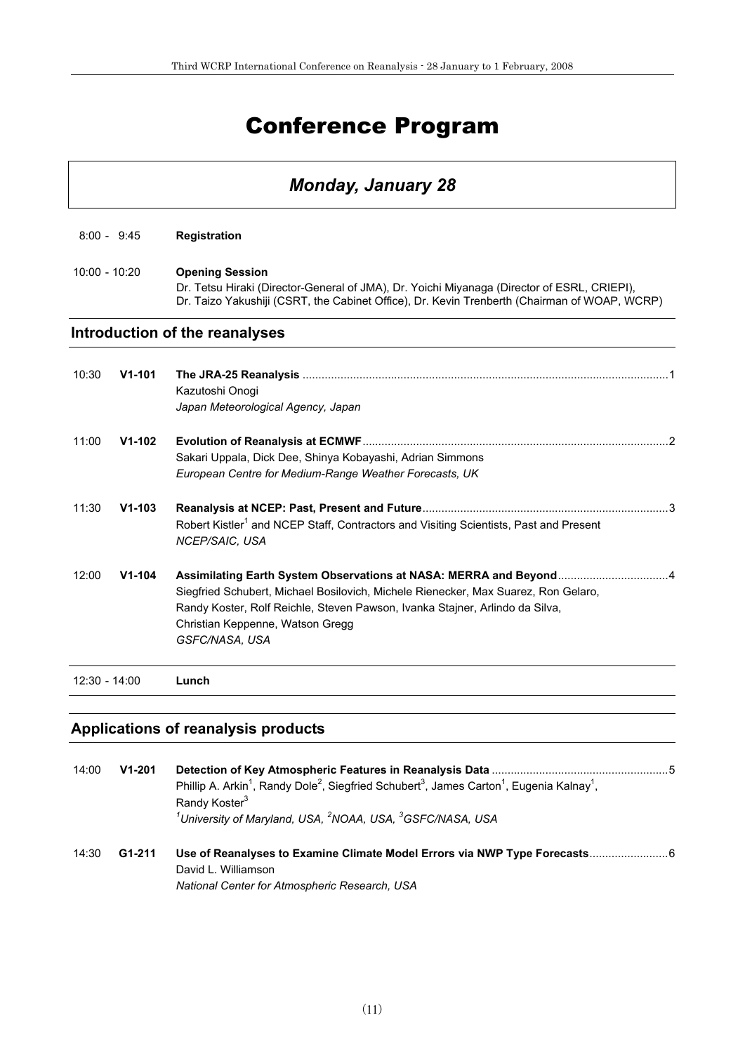# Conference Program

## *Monday, January 28*

|                 | $8:00 - 9:45$ | <b>Registration</b>                                                                                                                                                                                                                                                                           |  |
|-----------------|---------------|-----------------------------------------------------------------------------------------------------------------------------------------------------------------------------------------------------------------------------------------------------------------------------------------------|--|
| $10:00 - 10:20$ |               | <b>Opening Session</b><br>Dr. Tetsu Hiraki (Director-General of JMA), Dr. Yoichi Miyanaga (Director of ESRL, CRIEPI),<br>Dr. Taizo Yakushiji (CSRT, the Cabinet Office), Dr. Kevin Trenberth (Chairman of WOAP, WCRP)                                                                         |  |
|                 |               | Introduction of the reanalyses                                                                                                                                                                                                                                                                |  |
| 10:30           | $V1 - 101$    | Kazutoshi Onogi<br>Japan Meteorological Agency, Japan                                                                                                                                                                                                                                         |  |
| 11:00           | $V1-102$      | Sakari Uppala, Dick Dee, Shinya Kobayashi, Adrian Simmons<br>European Centre for Medium-Range Weather Forecasts, UK                                                                                                                                                                           |  |
| 11:30           | $V1 - 103$    | Robert Kistler <sup>1</sup> and NCEP Staff, Contractors and Visiting Scientists, Past and Present<br>NCEP/SAIC, USA                                                                                                                                                                           |  |
| 12:00           | $V1-104$      | Assimilating Earth System Observations at NASA: MERRA and Beyond4<br>Siegfried Schubert, Michael Bosilovich, Michele Rienecker, Max Suarez, Ron Gelaro,<br>Randy Koster, Rolf Reichle, Steven Pawson, Ivanka Stajner, Arlindo da Silva,<br>Christian Keppenne, Watson Gregg<br>GSFC/NASA, USA |  |
| $12:30 - 14:00$ |               | Lunch                                                                                                                                                                                                                                                                                         |  |

## **Applications of reanalysis products**

| 14:00 | $V1 - 201$ | Phillip A. Arkin <sup>1</sup> , Randy Dole <sup>2</sup> , Siegfried Schubert <sup>3</sup> , James Carton <sup>1</sup> , Eugenia Kalnay <sup>1</sup> ,<br>Randy Koster <sup>3</sup><br><sup>1</sup> University of Maryland, USA, <sup>2</sup> NOAA, USA, <sup>3</sup> GSFC/NASA, USA |  |
|-------|------------|-------------------------------------------------------------------------------------------------------------------------------------------------------------------------------------------------------------------------------------------------------------------------------------|--|
| 14:30 | G1-211     | David L. Williamson<br>National Center for Atmospheric Research, USA                                                                                                                                                                                                                |  |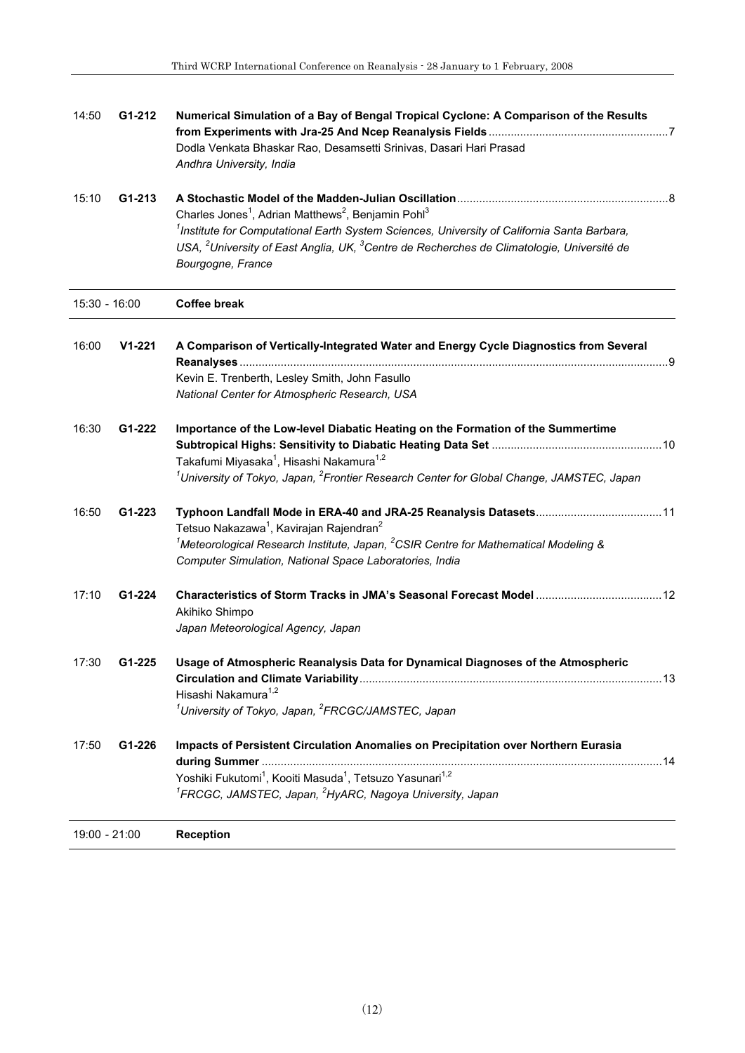| 14:50         | G1-212     | Numerical Simulation of a Bay of Bengal Tropical Cyclone: A Comparison of the Results                                                                                |  |
|---------------|------------|----------------------------------------------------------------------------------------------------------------------------------------------------------------------|--|
|               |            | Dodla Venkata Bhaskar Rao, Desamsetti Srinivas, Dasari Hari Prasad<br>Andhra University, India                                                                       |  |
| 15:10         | G1-213     |                                                                                                                                                                      |  |
|               |            | Charles Jones <sup>1</sup> , Adrian Matthews <sup>2</sup> , Benjamin Pohl <sup>3</sup>                                                                               |  |
|               |            | <sup>1</sup> Institute for Computational Earth System Sciences, University of California Santa Barbara,                                                              |  |
|               |            | USA, <sup>2</sup> University of East Anglia, UK, <sup>3</sup> Centre de Recherches de Climatologie, Université de<br>Bourgogne, France                               |  |
| 15:30 - 16:00 |            | <b>Coffee break</b>                                                                                                                                                  |  |
| 16:00         | $V1 - 221$ | A Comparison of Vertically-Integrated Water and Energy Cycle Diagnostics from Several                                                                                |  |
|               |            | Kevin E. Trenberth, Lesley Smith, John Fasullo                                                                                                                       |  |
|               |            | National Center for Atmospheric Research, USA                                                                                                                        |  |
| 16:30         | G1-222     | Importance of the Low-level Diabatic Heating on the Formation of the Summertime                                                                                      |  |
|               |            |                                                                                                                                                                      |  |
|               |            | Takafumi Miyasaka <sup>1</sup> , Hisashi Nakamura <sup>1,2</sup><br>$^1$ University of Tokyo, Japan, $^2$ Frontier Research Center for Global Change, JAMSTEC, Japan |  |
| 16:50         | G1-223     |                                                                                                                                                                      |  |
|               |            | Tetsuo Nakazawa <sup>1</sup> , Kavirajan Rajendran <sup>2</sup>                                                                                                      |  |
|               |            | $^{1}$ Meteorological Research Institute, Japan, $^{2}$ CSIR Centre for Mathematical Modeling &                                                                      |  |
|               |            | Computer Simulation, National Space Laboratories, India                                                                                                              |  |
| 17:10         | G1-224     | Characteristics of Storm Tracks in JMA's Seasonal Forecast Model  12                                                                                                 |  |
|               |            | Akihiko Shimpo<br>Japan Meteorological Agency, Japan                                                                                                                 |  |
| 17:30         | G1-225     | Usage of Atmospheric Reanalysis Data for Dynamical Diagnoses of the Atmospheric                                                                                      |  |
|               |            | Hisashi Nakamura <sup>1,2</sup>                                                                                                                                      |  |
|               |            | <sup>1</sup> University of Tokyo, Japan, <sup>2</sup> FRCGC/JAMSTEC, Japan                                                                                           |  |
| 17:50         | G1-226     | Impacts of Persistent Circulation Anomalies on Precipitation over Northern Eurasia                                                                                   |  |
|               |            | Yoshiki Fukutomi <sup>1</sup> , Kooiti Masuda <sup>1</sup> , Tetsuzo Yasunari <sup>1,2</sup>                                                                         |  |
|               |            | <sup>1</sup> FRCGC, JAMSTEC, Japan, <sup>2</sup> HyARC, Nagoya University, Japan                                                                                     |  |
| 19:00 - 21:00 |            | <b>Reception</b>                                                                                                                                                     |  |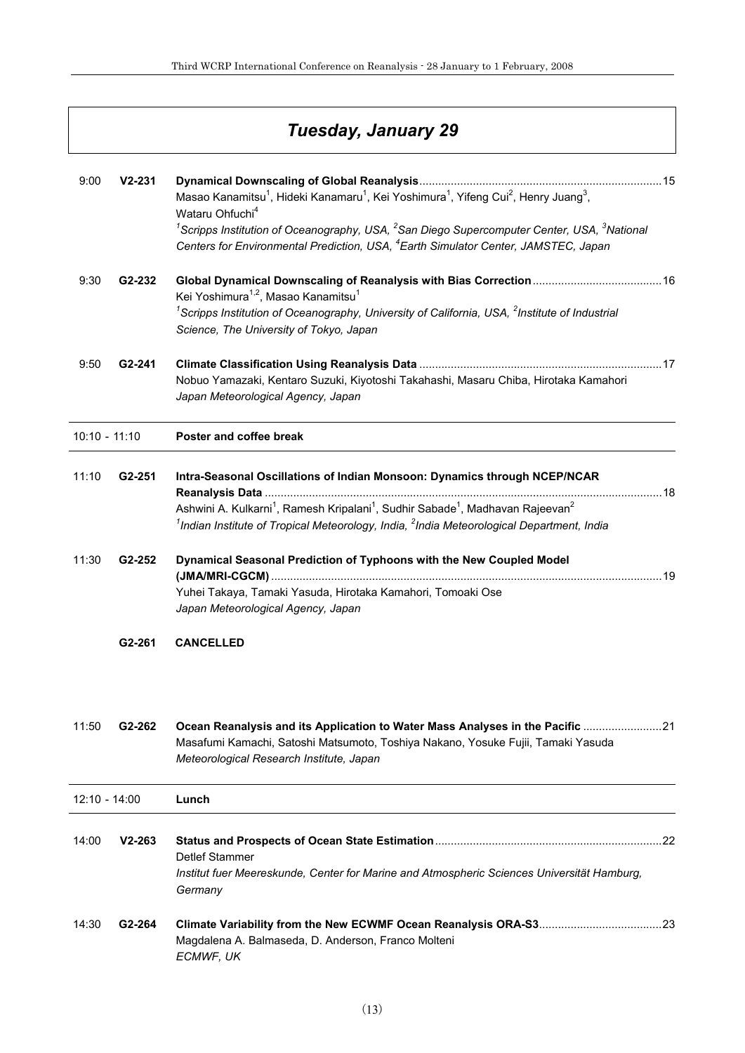|                 |                     | Tuesday, January 29                                                                                                                                                                                                                                             |
|-----------------|---------------------|-----------------------------------------------------------------------------------------------------------------------------------------------------------------------------------------------------------------------------------------------------------------|
| 9:00            | $V2 - 231$          | Masao Kanamitsu <sup>1</sup> , Hideki Kanamaru <sup>1</sup> , Kei Yoshimura <sup>1</sup> , Yifeng Cui <sup>2</sup> , Henry Juang <sup>3</sup> ,                                                                                                                 |
|                 |                     | Wataru Ohfuchi <sup>4</sup><br><sup>1</sup> Scripps Institution of Oceanography, USA, <sup>2</sup> San Diego Supercomputer Center, USA, <sup>3</sup> National<br>Centers for Environmental Prediction, USA, <sup>4</sup> Earth Simulator Center, JAMSTEC, Japan |
| 9:30            | G2-232              | Kei Yoshimura <sup>1,2</sup> , Masao Kanamitsu <sup>1</sup><br><sup>1</sup> Scripps Institution of Oceanography, University of California, USA, $2$ Institute of Industrial                                                                                     |
|                 |                     | Science, The University of Tokyo, Japan                                                                                                                                                                                                                         |
| 9:50            | G <sub>2</sub> -241 | Nobuo Yamazaki, Kentaro Suzuki, Kiyotoshi Takahashi, Masaru Chiba, Hirotaka Kamahori<br>Japan Meteorological Agency, Japan                                                                                                                                      |
| $10:10 - 11:10$ |                     | Poster and coffee break                                                                                                                                                                                                                                         |
| 11:10           | G <sub>2</sub> -251 | Intra-Seasonal Oscillations of Indian Monsoon: Dynamics through NCEP/NCAR                                                                                                                                                                                       |
|                 |                     | Ashwini A. Kulkarni <sup>1</sup> , Ramesh Kripalani <sup>1</sup> , Sudhir Sabade <sup>1</sup> , Madhavan Rajeevan <sup>2</sup><br>$1$ Indian Institute of Tropical Meteorology, India, $2$ India Meteorological Department, India                               |
| 11:30           | G2-252              | Dynamical Seasonal Prediction of Typhoons with the New Coupled Model<br>Yuhei Takaya, Tamaki Yasuda, Hirotaka Kamahori, Tomoaki Ose<br>Japan Meteorological Agency, Japan                                                                                       |
|                 | G2-261              | <b>CANCELLED</b>                                                                                                                                                                                                                                                |
| 11:50           | G <sub>2</sub> -262 | Ocean Reanalysis and its Application to Water Mass Analyses in the Pacific 21<br>Masafumi Kamachi, Satoshi Matsumoto, Toshiya Nakano, Yosuke Fujii, Tamaki Yasuda<br>Meteorological Research Institute, Japan                                                   |
| $12:10 - 14:00$ |                     | Lunch                                                                                                                                                                                                                                                           |
| 14:00           | $V2 - 263$          | Detlef Stammer<br>Institut fuer Meereskunde, Center for Marine and Atmospheric Sciences Universität Hamburg,<br>Germany                                                                                                                                         |
| 14:30           | G <sub>2</sub> -264 | Magdalena A. Balmaseda, D. Anderson, Franco Molteni<br>ECMWF, UK                                                                                                                                                                                                |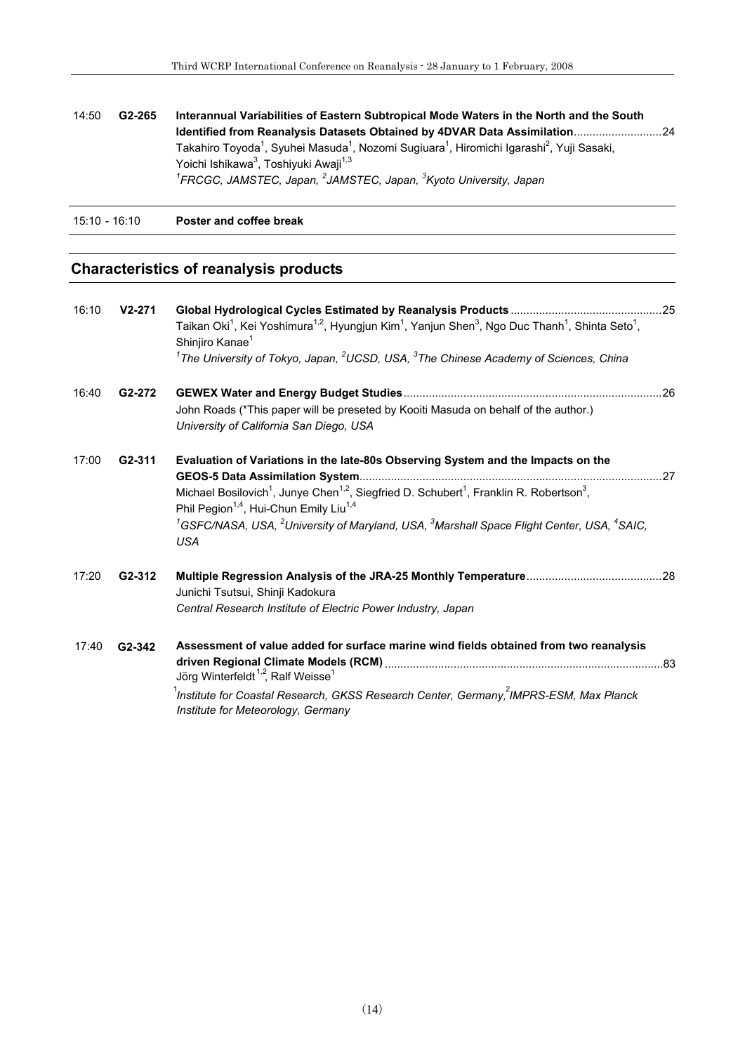| 14:50         | G <sub>2</sub> -265 | Interannual Variabilities of Eastern Subtropical Mode Waters in the North and the South<br>Identified from Reanalysis Datasets Obtained by 4DVAR Data Assimilation24<br>Takahiro Toyoda <sup>1</sup> , Syuhei Masuda <sup>1</sup> , Nozomi Sugiuara <sup>1</sup> , Hiromichi Igarashi <sup>2</sup> , Yuji Sasaki,<br>Yoichi Ishikawa <sup>3</sup> , Toshiyuki Awaji <sup>1,3</sup><br><sup>1</sup> FRCGC, JAMSTEC, Japan, <sup>2</sup> JAMSTEC, Japan, <sup>3</sup> Kyoto University, Japan |  |
|---------------|---------------------|---------------------------------------------------------------------------------------------------------------------------------------------------------------------------------------------------------------------------------------------------------------------------------------------------------------------------------------------------------------------------------------------------------------------------------------------------------------------------------------------|--|
| 15:10 - 16:10 |                     | Poster and coffee break                                                                                                                                                                                                                                                                                                                                                                                                                                                                     |  |

### **Characteristics of reanalysis products**

| 16:10 | $V2 - 271$          | Taikan Oki <sup>1</sup> , Kei Yoshimura <sup>1,2</sup> , Hyungjun Kim <sup>1</sup> , Yanjun Shen <sup>3</sup> , Ngo Duc Thanh <sup>1</sup> , Shinta Seto <sup>1</sup> ,<br>Shinjiro Kanae <sup>1</sup><br>$^1$ The University of Tokyo, Japan, $^2$ UCSD, USA, $^3$ The Chinese Academy of Sciences, China                                                                                                                               |  |
|-------|---------------------|------------------------------------------------------------------------------------------------------------------------------------------------------------------------------------------------------------------------------------------------------------------------------------------------------------------------------------------------------------------------------------------------------------------------------------------|--|
| 16:40 | G <sub>2</sub> -272 | John Roads (*This paper will be preseted by Kooiti Masuda on behalf of the author.)<br>University of California San Diego, USA                                                                                                                                                                                                                                                                                                           |  |
| 17:00 | G2-311              | Evaluation of Variations in the late-80s Observing System and the Impacts on the<br>Michael Bosilovich <sup>1</sup> , Junye Chen <sup>1,2</sup> , Siegfried D. Schubert <sup>1</sup> , Franklin R. Robertson <sup>3</sup> ,<br>Phil Pegion <sup>1,4</sup> , Hui-Chun Emily Liu <sup>1,4</sup><br>${}^{1}$ GSFC/NASA, USA, ${}^{2}$ University of Maryland, USA, ${}^{3}$ Marshall Space Flight Center, USA, ${}^{4}$ SAIC,<br><b>USA</b> |  |
| 17:20 | G <sub>2</sub> -312 | Junichi Tsutsui, Shinji Kadokura<br>Central Research Institute of Electric Power Industry, Japan                                                                                                                                                                                                                                                                                                                                         |  |
| 17:40 | G2-342              | Assessment of value added for surface marine wind fields obtained from two reanalysis<br>Jörg Winterfeldt <sup>1,2</sup> , Ralf Weisse <sup>1</sup><br>$^1$ Institute for Coastal Research, GKSS Research Center, Germany, $^2$ IMPRS-ESM, Max Planck<br>Institute for Meteorology, Germany                                                                                                                                              |  |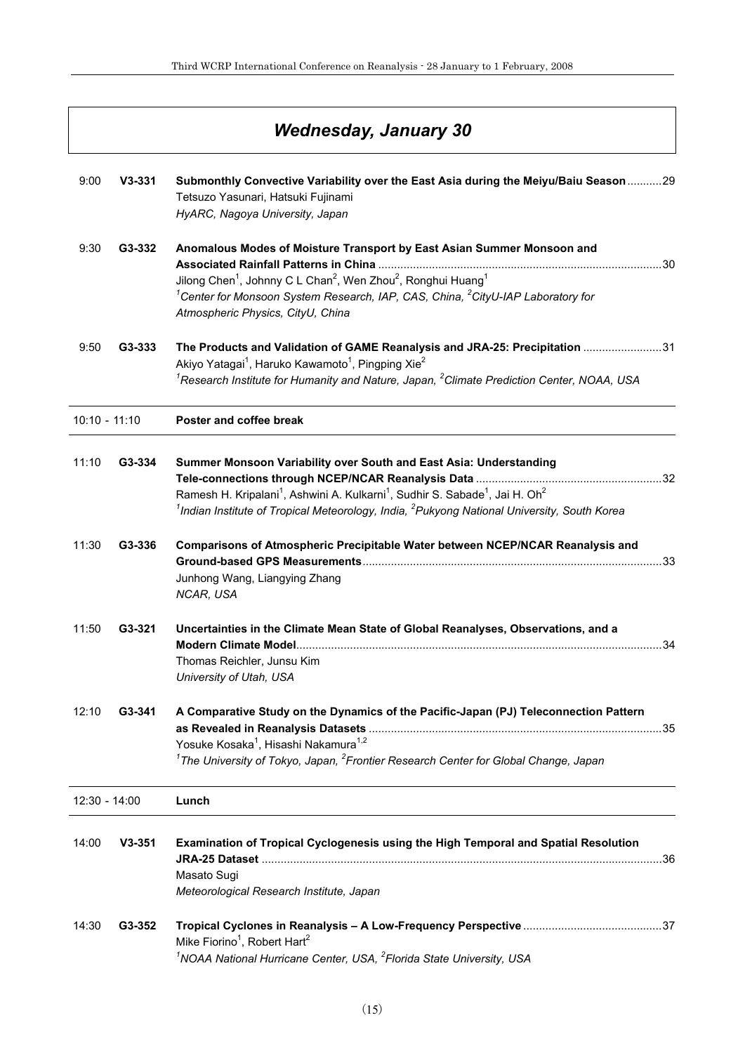|                 |            | Wednesday, January 30                                                                                                                                                                                                                                                                                                                  |     |
|-----------------|------------|----------------------------------------------------------------------------------------------------------------------------------------------------------------------------------------------------------------------------------------------------------------------------------------------------------------------------------------|-----|
| 9:00            | $V3-331$   | Submonthly Convective Variability over the East Asia during the Meiyu/Baiu Season 29<br>Tetsuzo Yasunari, Hatsuki Fujinami<br>HyARC, Nagoya University, Japan                                                                                                                                                                          |     |
| 9:30            | G3-332     | Anomalous Modes of Moisture Transport by East Asian Summer Monsoon and<br>Jilong Chen <sup>1</sup> , Johnny C L Chan <sup>2</sup> , Wen Zhou <sup>2</sup> , Ronghui Huang <sup>1</sup><br><sup>1</sup> Center for Monsoon System Research, IAP, CAS, China, <sup>2</sup> CityU-IAP Laboratory for<br>Atmospheric Physics, CityU, China |     |
| 9:50            | G3-333     | The Products and Validation of GAME Reanalysis and JRA-25: Precipitation 31<br>Akiyo Yatagai <sup>1</sup> , Haruko Kawamoto <sup>1</sup> , Pingping Xie <sup>2</sup><br>${}^{1}$ Research Institute for Humanity and Nature, Japan, ${}^{2}$ Climate Prediction Center, NOAA, USA                                                      |     |
| $10:10 - 11:10$ |            | Poster and coffee break                                                                                                                                                                                                                                                                                                                |     |
| 11:10           | G3-334     | Summer Monsoon Variability over South and East Asia: Understanding<br>Ramesh H. Kripalani <sup>1</sup> , Ashwini A. Kulkarni <sup>1</sup> , Sudhir S. Sabade <sup>1</sup> , Jai H. Oh <sup>2</sup><br>$^{1}$ Indian Institute of Tropical Meteorology, India, $^{2}$ Pukyong National University, South Korea                          |     |
| 11:30           | G3-336     | Comparisons of Atmospheric Precipitable Water between NCEP/NCAR Reanalysis and<br>Junhong Wang, Liangying Zhang<br>NCAR, USA                                                                                                                                                                                                           | .33 |
| 11:50           | G3-321     | Uncertainties in the Climate Mean State of Global Reanalyses, Observations, and a<br>Modern Climate Model<br>Thomas Reichler, Junsu Kim<br>University of Utah, USA                                                                                                                                                                     | 34  |
| 12:10           | G3-341     | A Comparative Study on the Dynamics of the Pacific-Japan (PJ) Teleconnection Pattern<br>Yosuke Kosaka <sup>1</sup> , Hisashi Nakamura <sup>1,2</sup><br>$1$ The University of Tokyo, Japan, $2$ Frontier Research Center for Global Change, Japan                                                                                      |     |
| 12:30 - 14:00   |            | Lunch                                                                                                                                                                                                                                                                                                                                  |     |
| 14:00           | $V3 - 351$ | Examination of Tropical Cyclogenesis using the High Temporal and Spatial Resolution<br>Masato Sugi<br>Meteorological Research Institute, Japan                                                                                                                                                                                         |     |
| 14:30           | G3-352     | Mike Fiorino <sup>1</sup> , Robert Hart <sup>2</sup><br><sup>1</sup> NOAA National Hurricane Center, USA, <sup>2</sup> Florida State University, USA                                                                                                                                                                                   |     |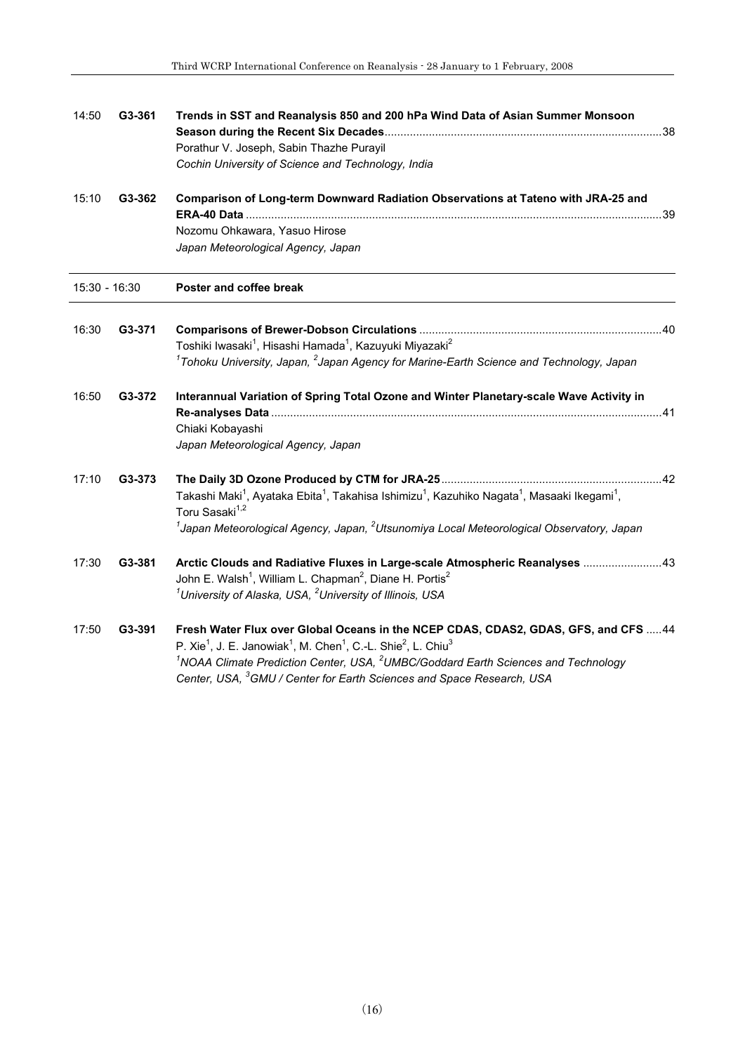| 14:50         | G3-361 | Trends in SST and Reanalysis 850 and 200 hPa Wind Data of Asian Summer Monsoon<br>Porathur V. Joseph, Sabin Thazhe Purayil<br>Cochin University of Science and Technology, India                                                                                                                                                                                                                 |
|---------------|--------|--------------------------------------------------------------------------------------------------------------------------------------------------------------------------------------------------------------------------------------------------------------------------------------------------------------------------------------------------------------------------------------------------|
| 15:10         | G3-362 | Comparison of Long-term Downward Radiation Observations at Tateno with JRA-25 and                                                                                                                                                                                                                                                                                                                |
|               |        | Nozomu Ohkawara, Yasuo Hirose<br>Japan Meteorological Agency, Japan                                                                                                                                                                                                                                                                                                                              |
| 15:30 - 16:30 |        | Poster and coffee break                                                                                                                                                                                                                                                                                                                                                                          |
| 16:30         | G3-371 | Toshiki lwasaki <sup>1</sup> , Hisashi Hamada <sup>1</sup> , Kazuyuki Miyazaki <sup>2</sup><br>$1$ Tohoku University, Japan, $2$ Japan Agency for Marine-Earth Science and Technology, Japan                                                                                                                                                                                                     |
| 16:50         | G3-372 | Interannual Variation of Spring Total Ozone and Winter Planetary-scale Wave Activity in<br>Chiaki Kobayashi<br>Japan Meteorological Agency, Japan                                                                                                                                                                                                                                                |
| 17:10         | G3-373 | Takashi Maki <sup>1</sup> , Ayataka Ebita <sup>1</sup> , Takahisa Ishimizu <sup>1</sup> , Kazuhiko Nagata <sup>1</sup> , Masaaki Ikegami <sup>1</sup> ,<br>Toru Sasaki <sup>1,2</sup><br>$1$ Japan Meteorological Agency, Japan, $2$ Utsunomiya Local Meteorological Observatory, Japan                                                                                                          |
| 17:30         | G3-381 | Arctic Clouds and Radiative Fluxes in Large-scale Atmospheric Reanalyses 43<br>John E. Walsh <sup>1</sup> , William L. Chapman <sup>2</sup> , Diane H. Portis <sup>2</sup><br><sup>1</sup> University of Alaska, USA, <sup>2</sup> University of Illinois, USA                                                                                                                                   |
| 17:50         | G3-391 | Fresh Water Flux over Global Oceans in the NCEP CDAS, CDAS2, GDAS, GFS, and CFS  44<br>P. Xie <sup>1</sup> , J. E. Janowiak <sup>1</sup> , M. Chen <sup>1</sup> , C.-L. Shie <sup>2</sup> , L. Chiu <sup>3</sup><br>$1$ NOAA Climate Prediction Center, USA, $2$ UMBC/Goddard Earth Sciences and Technology<br>Center, USA, <sup>3</sup> GMU / Center for Earth Sciences and Space Research, USA |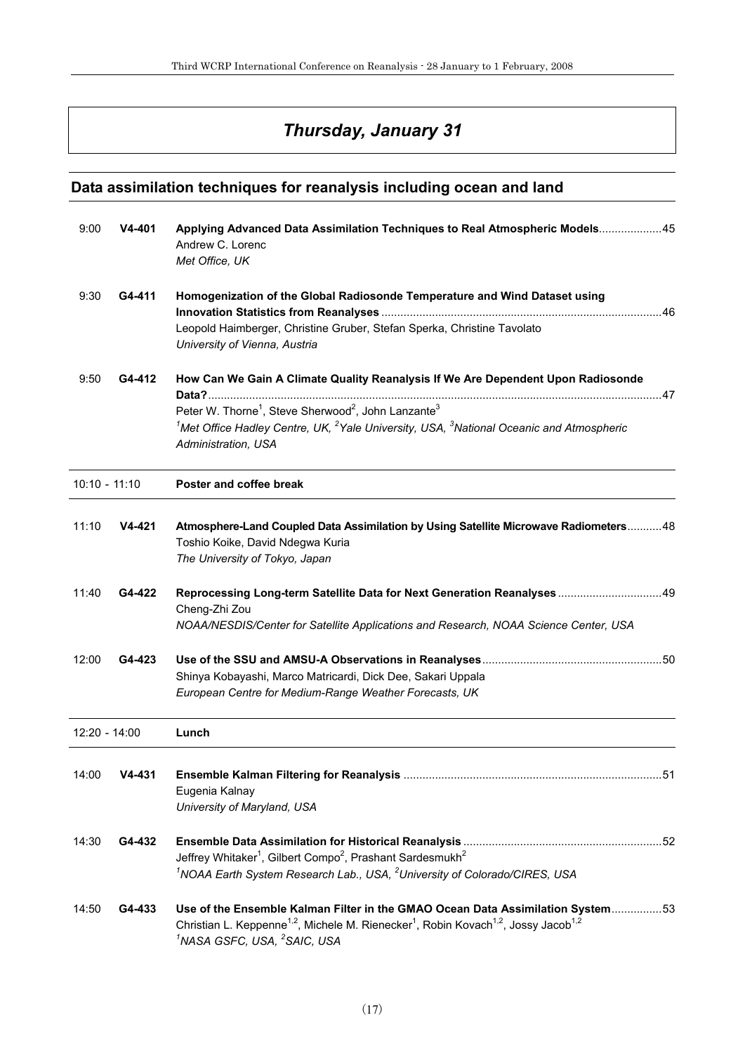## *Thursday, January 31*

### **Data assimilation techniques for reanalysis including ocean and land**

| 9:00            | V4-401   | Applying Advanced Data Assimilation Techniques to Real Atmospheric Models45<br>Andrew C. Lorenc<br>Met Office, UK                                                                                                                                                                                                        |    |
|-----------------|----------|--------------------------------------------------------------------------------------------------------------------------------------------------------------------------------------------------------------------------------------------------------------------------------------------------------------------------|----|
| 9:30            | G4-411   | Homogenization of the Global Radiosonde Temperature and Wind Dataset using<br>Leopold Haimberger, Christine Gruber, Stefan Sperka, Christine Tavolato<br>University of Vienna, Austria                                                                                                                                   |    |
| 9:50            | G4-412   | How Can We Gain A Climate Quality Reanalysis If We Are Dependent Upon Radiosonde<br>Peter W. Thorne <sup>1</sup> , Steve Sherwood <sup>2</sup> , John Lanzante <sup>3</sup><br><sup>1</sup> Met Office Hadley Centre, UK, <sup>2</sup> Yale University, USA, $3$ National Oceanic and Atmospheric<br>Administration, USA |    |
| $10:10 - 11:10$ |          | Poster and coffee break                                                                                                                                                                                                                                                                                                  |    |
| 11:10           | V4-421   | Atmosphere-Land Coupled Data Assimilation by Using Satellite Microwave Radiometers 48<br>Toshio Koike, David Ndegwa Kuria<br>The University of Tokyo, Japan                                                                                                                                                              |    |
| 11:40           | G4-422   | Reprocessing Long-term Satellite Data for Next Generation Reanalyses  49<br>Cheng-Zhi Zou<br>NOAA/NESDIS/Center for Satellite Applications and Research, NOAA Science Center, USA                                                                                                                                        |    |
| 12:00           | G4-423   | Shinya Kobayashi, Marco Matricardi, Dick Dee, Sakari Uppala<br>European Centre for Medium-Range Weather Forecasts, UK                                                                                                                                                                                                    |    |
| 12:20 - 14:00   |          | Lunch                                                                                                                                                                                                                                                                                                                    |    |
| 14:00           | $V4-431$ | Eugenia Kalnay<br>University of Maryland, USA                                                                                                                                                                                                                                                                            | 51 |
| 14:30           | G4-432   | Jeffrey Whitaker <sup>1</sup> , Gilbert Compo <sup>2</sup> , Prashant Sardesmukh <sup>2</sup><br><sup>1</sup> NOAA Earth System Research Lab., USA, <sup>2</sup> University of Colorado/CIRES, USA                                                                                                                       |    |
| 14:50           | G4-433   | Use of the Ensemble Kalman Filter in the GMAO Ocean Data Assimilation System53<br>Christian L. Keppenne <sup>1,2</sup> , Michele M. Rienecker <sup>1</sup> , Robin Kovach <sup>1,2</sup> , Jossy Jacob <sup>1,2</sup><br><sup>1</sup> NASA GSFC, USA, <sup>2</sup> SAIC, USA                                             |    |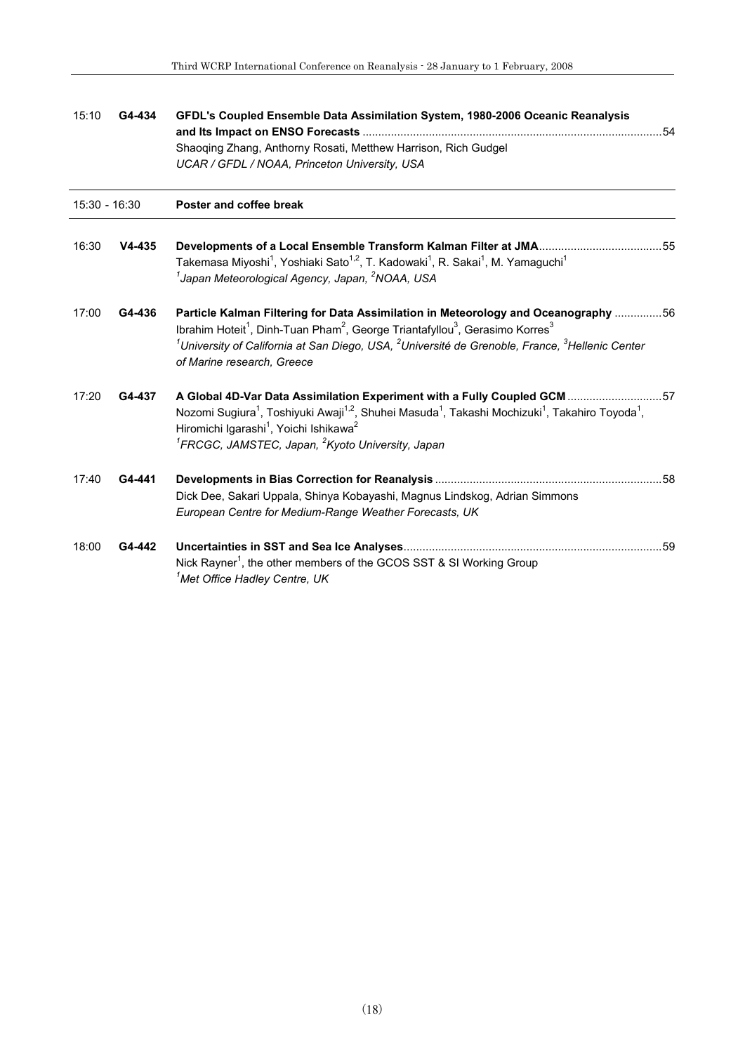| 15:10         | G4-434   | GFDL's Coupled Ensemble Data Assimilation System, 1980-2006 Oceanic Reanalysis                                                                                                                                                                                                                                                                                                        |  |
|---------------|----------|---------------------------------------------------------------------------------------------------------------------------------------------------------------------------------------------------------------------------------------------------------------------------------------------------------------------------------------------------------------------------------------|--|
|               |          | Shaoqing Zhang, Anthorny Rosati, Metthew Harrison, Rich Gudgel                                                                                                                                                                                                                                                                                                                        |  |
|               |          | UCAR / GFDL / NOAA, Princeton University, USA                                                                                                                                                                                                                                                                                                                                         |  |
| 15:30 - 16:30 |          | Poster and coffee break                                                                                                                                                                                                                                                                                                                                                               |  |
| 16:30         | $V4-435$ | Takemasa Miyoshi <sup>1</sup> , Yoshiaki Sato <sup>1,2</sup> , T. Kadowaki <sup>1</sup> , R. Sakai <sup>1</sup> , M. Yamaguchi <sup>1</sup><br>$^1$ Japan Meteorological Agency, Japan, $^2$ NOAA, USA                                                                                                                                                                                |  |
| 17:00         | G4-436   | Particle Kalman Filtering for Data Assimilation in Meteorology and Oceanography 56<br>Ibrahim Hoteit <sup>1</sup> , Dinh-Tuan Pham <sup>2</sup> , George Triantafyllou <sup>3</sup> , Gerasimo Korres <sup>3</sup><br>$^1$ University of California at San Diego, USA, $^2$ Université de Grenoble, France, $^3$ Hellenic Center<br>of Marine research, Greece                        |  |
| 17:20         | G4-437   | A Global 4D-Var Data Assimilation Experiment with a Fully Coupled GCM 57<br>Nozomi Sugiura <sup>1</sup> , Toshiyuki Awaji <sup>1,2</sup> , Shuhei Masuda <sup>1</sup> , Takashi Mochizuki <sup>1</sup> , Takahiro Toyoda <sup>1</sup> ,<br>Hiromichi Igarashi <sup>1</sup> , Yoichi Ishikawa <sup>2</sup><br><sup>1</sup> FRCGC, JAMSTEC, Japan, <sup>2</sup> Kyoto University, Japan |  |
| 17:40         | G4-441   | Dick Dee, Sakari Uppala, Shinya Kobayashi, Magnus Lindskog, Adrian Simmons<br>European Centre for Medium-Range Weather Forecasts, UK                                                                                                                                                                                                                                                  |  |
| 18:00         | G4-442   | Nick Rayner <sup>1</sup> , the other members of the GCOS SST & SI Working Group<br><sup>1</sup> Met Office Hadley Centre, UK                                                                                                                                                                                                                                                          |  |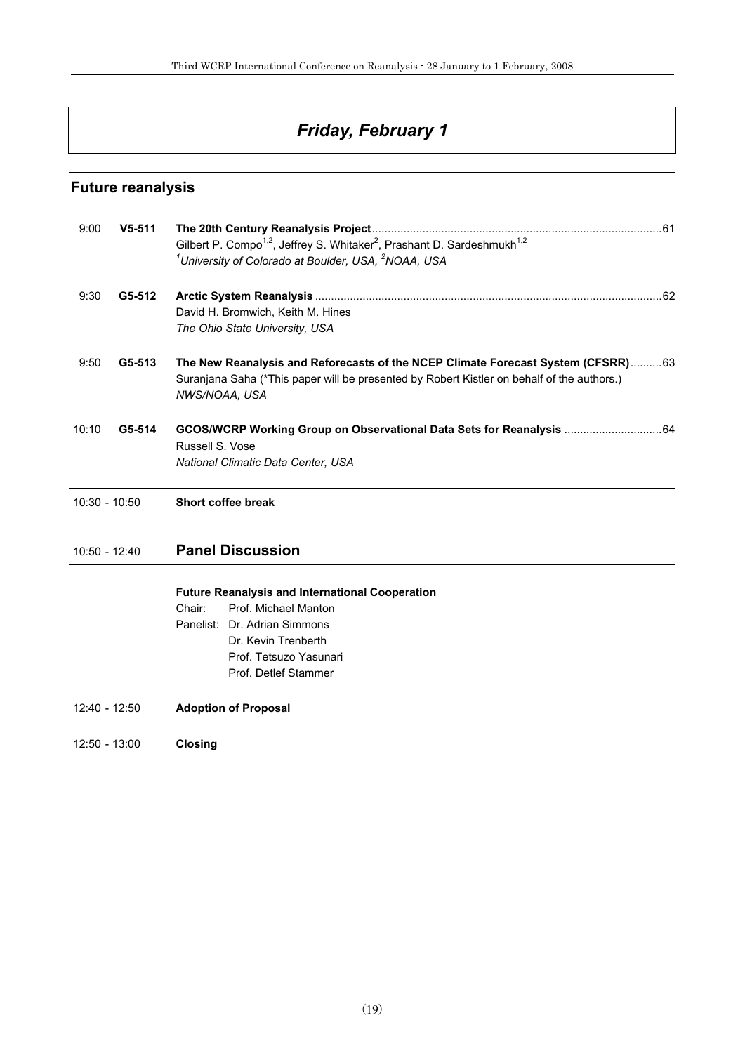## *Friday, February 1*

#### **Future reanalysis**

| 9:00            | $V5-511$ | Gilbert P. Compo <sup>1,2</sup> , Jeffrey S. Whitaker <sup>2</sup> , Prashant D. Sardeshmukh <sup>1,2</sup><br><sup>1</sup> University of Colorado at Boulder, USA, <sup>2</sup> NOAA, USA      |
|-----------------|----------|-------------------------------------------------------------------------------------------------------------------------------------------------------------------------------------------------|
| 9:30            | G5-512   | David H. Bromwich, Keith M. Hines<br>The Ohio State University, USA                                                                                                                             |
| 9:50            | G5-513   | The New Reanalysis and Reforecasts of the NCEP Climate Forecast System (CFSRR)63<br>Suranjana Saha (*This paper will be presented by Robert Kistler on behalf of the authors.)<br>NWS/NOAA, USA |
| 10:10           | G5-514   | GCOS/WCRP Working Group on Observational Data Sets for Reanalysis  64<br>Russell S. Vose<br>National Climatic Data Center, USA                                                                  |
| $10:30 - 10:50$ |          | Short coffee break                                                                                                                                                                              |
|                 |          |                                                                                                                                                                                                 |

### 10:50 - 12:40 **Panel Discussion**

#### **Future Reanalysis and International Cooperation**

- Chair: Prof. Michael Manton Panelist: Dr. Adrian Simmons Dr. Kevin Trenberth Prof. Tetsuzo Yasunari Prof. Detlef Stammer
- 12:40 12:50 **Adoption of Proposal**
- 12:50 13:00 **Closing**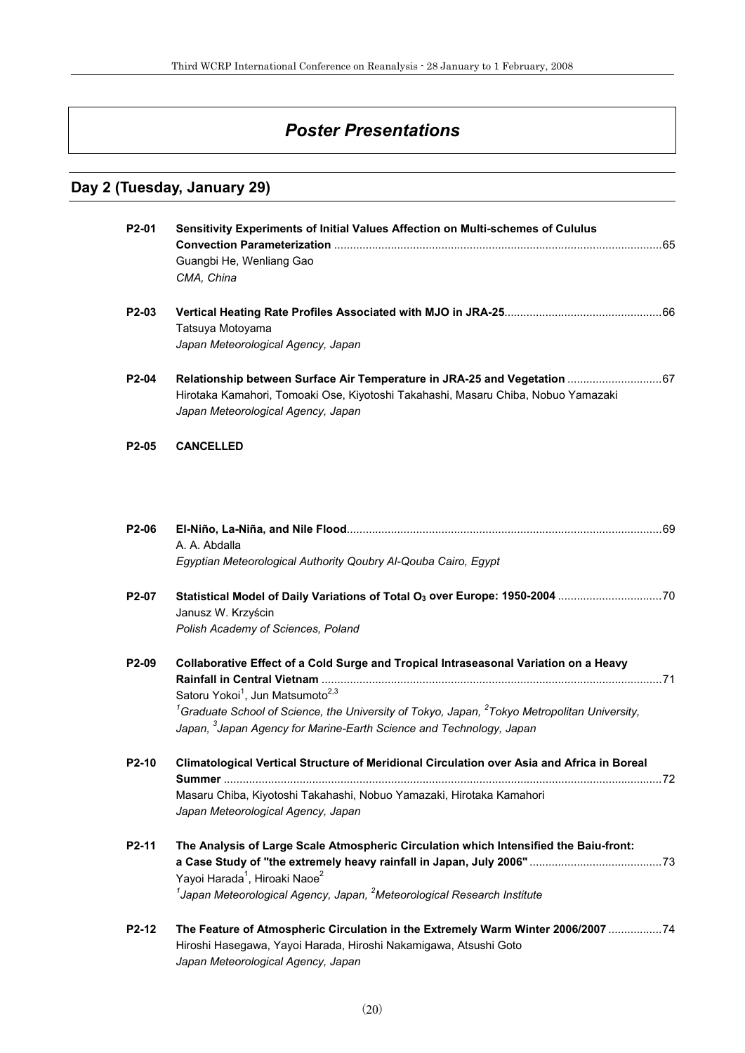## *Poster Presentations*

### **Day 2 (Tuesday, January 29)**

| P2-01              | Sensitivity Experiments of Initial Values Affection on Multi-schemes of Cululus                                                                                                                                                                                                                                                                     |  |
|--------------------|-----------------------------------------------------------------------------------------------------------------------------------------------------------------------------------------------------------------------------------------------------------------------------------------------------------------------------------------------------|--|
|                    | Guangbi He, Wenliang Gao<br>CMA, China                                                                                                                                                                                                                                                                                                              |  |
| P2-03              | Tatsuya Motoyama<br>Japan Meteorological Agency, Japan                                                                                                                                                                                                                                                                                              |  |
| P2-04              | Relationship between Surface Air Temperature in JRA-25 and Vegetation  67<br>Hirotaka Kamahori, Tomoaki Ose, Kiyotoshi Takahashi, Masaru Chiba, Nobuo Yamazaki<br>Japan Meteorological Agency, Japan                                                                                                                                                |  |
| P <sub>2</sub> -05 | <b>CANCELLED</b>                                                                                                                                                                                                                                                                                                                                    |  |
| P2-06              | A. A. Abdalla<br>Egyptian Meteorological Authority Qoubry Al-Qouba Cairo, Egypt                                                                                                                                                                                                                                                                     |  |
| P2-07              | Janusz W. Krzyścin<br>Polish Academy of Sciences, Poland                                                                                                                                                                                                                                                                                            |  |
| P2-09              | Collaborative Effect of a Cold Surge and Tropical Intraseasonal Variation on a Heavy<br>Satoru Yokoi <sup>1</sup> , Jun Matsumoto <sup>2,3</sup><br>${}^{1}$ Graduate School of Science, the University of Tokyo, Japan, ${}^{2}$ Tokyo Metropolitan University,<br>Japan, <sup>3</sup> Japan Agency for Marine-Earth Science and Technology, Japan |  |
| P <sub>2</sub> -10 | Climatological Vertical Structure of Meridional Circulation over Asia and Africa in Boreal<br>Masaru Chiba, Kiyotoshi Takahashi, Nobuo Yamazaki, Hirotaka Kamahori<br>Japan Meteorological Agency, Japan                                                                                                                                            |  |
| P2-11              | The Analysis of Large Scale Atmospheric Circulation which Intensified the Baiu-front:<br>Yayoi Harada <sup>1</sup> , Hiroaki Naoe <sup>2</sup><br>$1$ Japan Meteorological Agency, Japan, $2$ Meteorological Research Institute                                                                                                                     |  |
| P2-12              | The Feature of Atmospheric Circulation in the Extremely Warm Winter 2006/2007  74<br>Hiroshi Hasegawa, Yayoi Harada, Hiroshi Nakamigawa, Atsushi Goto<br>Japan Meteorological Agency, Japan                                                                                                                                                         |  |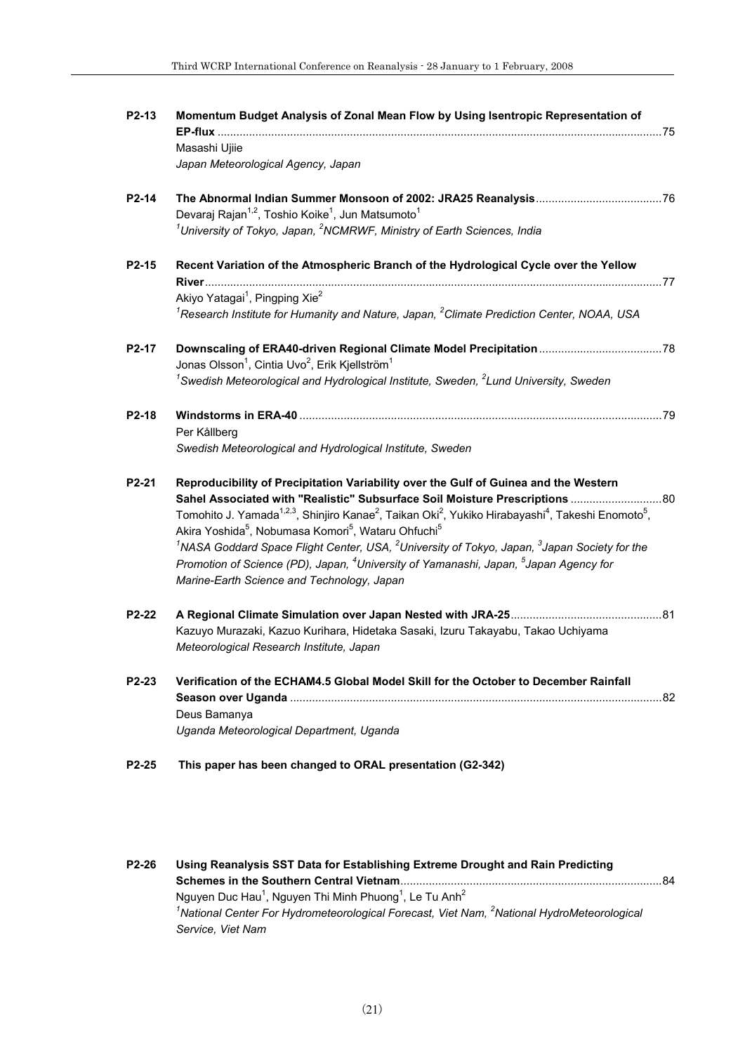| P2-13              | Momentum Budget Analysis of Zonal Mean Flow by Using Isentropic Representation of                                                                                                                                                                         |
|--------------------|-----------------------------------------------------------------------------------------------------------------------------------------------------------------------------------------------------------------------------------------------------------|
|                    | Masashi Ujiie                                                                                                                                                                                                                                             |
|                    | Japan Meteorological Agency, Japan                                                                                                                                                                                                                        |
| P2-14              | Devaraj Rajan <sup>1,2</sup> , Toshio Koike <sup>1</sup> , Jun Matsumoto <sup>1</sup>                                                                                                                                                                     |
|                    | <sup>1</sup> University of Tokyo, Japan, <sup>2</sup> NCMRWF, Ministry of Earth Sciences, India                                                                                                                                                           |
| P2-15              | Recent Variation of the Atmospheric Branch of the Hydrological Cycle over the Yellow                                                                                                                                                                      |
|                    |                                                                                                                                                                                                                                                           |
|                    | Akiyo Yatagai <sup>1</sup> , Pingping Xie <sup>2</sup>                                                                                                                                                                                                    |
|                    | ${}^{7}$ Research Institute for Humanity and Nature, Japan, ${}^{2}$ Climate Prediction Center, NOAA, USA                                                                                                                                                 |
| P2-17              |                                                                                                                                                                                                                                                           |
|                    | Jonas Olsson <sup>1</sup> , Cintia Uvo <sup>2</sup> , Erik Kjellström <sup>1</sup>                                                                                                                                                                        |
|                    | $1$ Swedish Meteorological and Hydrological Institute, Sweden, $2$ Lund University, Sweden                                                                                                                                                                |
| P <sub>2</sub> -18 |                                                                                                                                                                                                                                                           |
|                    | Per Kållberg                                                                                                                                                                                                                                              |
|                    | Swedish Meteorological and Hydrological Institute, Sweden                                                                                                                                                                                                 |
| P2-21              | Reproducibility of Precipitation Variability over the Gulf of Guinea and the Western                                                                                                                                                                      |
|                    |                                                                                                                                                                                                                                                           |
|                    | Tomohito J. Yamada <sup>1,2,3</sup> , Shinjiro Kanae <sup>2</sup> , Taikan Oki <sup>2</sup> , Yukiko Hirabayashi <sup>4</sup> , Takeshi Enomoto <sup>5</sup> ,<br>Akira Yoshida <sup>5</sup> , Nobumasa Komori <sup>5</sup> , Wataru Ohfuchi <sup>5</sup> |
|                    | $1$ NASA Goddard Space Flight Center, USA, $2$ University of Tokyo, Japan, $3$ Japan Society for the                                                                                                                                                      |
|                    | Promotion of Science (PD), Japan, <sup>4</sup> University of Yamanashi, Japan, <sup>5</sup> Japan Agency for<br>Marine-Earth Science and Technology, Japan                                                                                                |
| P2-22              |                                                                                                                                                                                                                                                           |
|                    | Kazuyo Murazaki, Kazuo Kurihara, Hidetaka Sasaki, Izuru Takayabu, Takao Uchiyama<br>Meteorological Research Institute, Japan                                                                                                                              |
| P2-23              | Verification of the ECHAM4.5 Global Model Skill for the October to December Rainfall                                                                                                                                                                      |
|                    |                                                                                                                                                                                                                                                           |
|                    | Deus Bamanya                                                                                                                                                                                                                                              |
|                    | Uganda Meteorological Department, Uganda                                                                                                                                                                                                                  |
| P2-25              | This paper has been changed to ORAL presentation (G2-342)                                                                                                                                                                                                 |
|                    |                                                                                                                                                                                                                                                           |

| $P2-26$ | Using Reanalysis SST Data for Establishing Extreme Drought and Rain Predicting                                     |  |
|---------|--------------------------------------------------------------------------------------------------------------------|--|
|         | .84                                                                                                                |  |
|         | Nguyen Duc Hau <sup>1</sup> , Nguyen Thi Minh Phuong <sup>1</sup> , Le Tu Anh <sup>2</sup>                         |  |
|         | <sup>1</sup> National Center For Hydrometeorological Forecast, Viet Nam, <sup>2</sup> National HydroMeteorological |  |
|         | Service, Viet Nam                                                                                                  |  |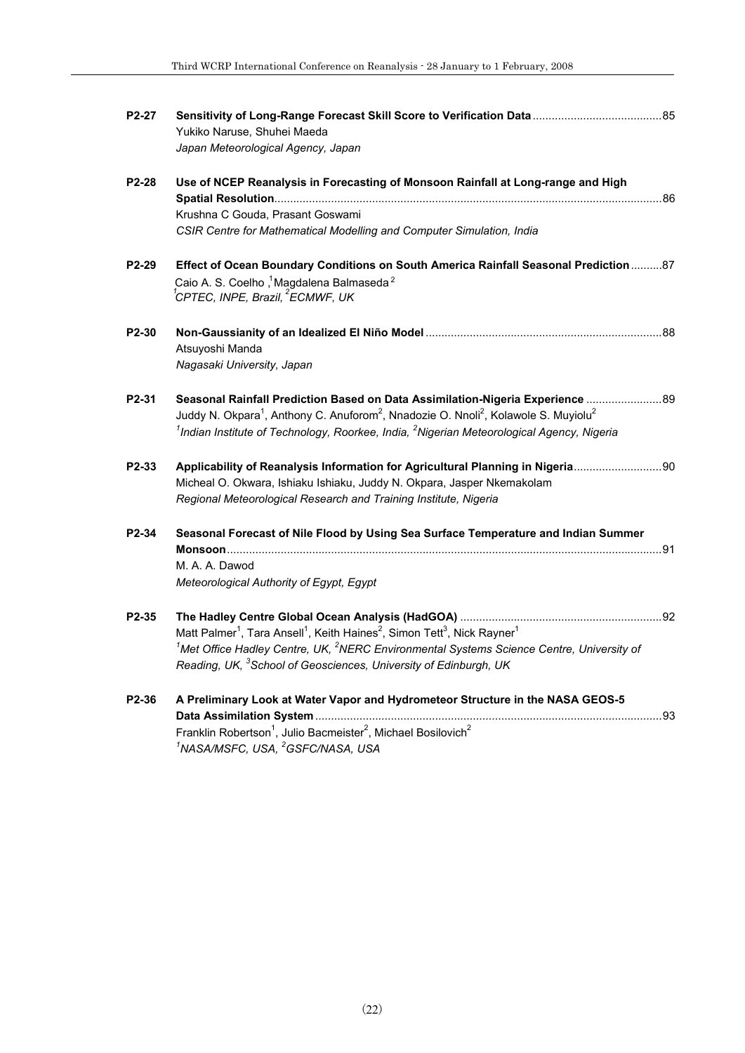| P2-27 | Yukiko Naruse, Shuhei Maeda<br>Japan Meteorological Agency, Japan                                                                                                                                                                                                                                                         |  |
|-------|---------------------------------------------------------------------------------------------------------------------------------------------------------------------------------------------------------------------------------------------------------------------------------------------------------------------------|--|
| P2-28 | Use of NCEP Reanalysis in Forecasting of Monsoon Rainfall at Long-range and High                                                                                                                                                                                                                                          |  |
|       | Krushna C Gouda, Prasant Goswami<br>CSIR Centre for Mathematical Modelling and Computer Simulation, India                                                                                                                                                                                                                 |  |
| P2-29 | Effect of Ocean Boundary Conditions on South America Rainfall Seasonal Prediction 87<br>Caio A. S. Coelho, Magdalena Balmaseda <sup>2</sup><br><sup>'</sup> CPTEC, INPE, Brazil, <sup>2</sup> ECMWF, UK                                                                                                                   |  |
| P2-30 | Atsuyoshi Manda<br>Nagasaki University, Japan                                                                                                                                                                                                                                                                             |  |
| P2-31 | 8989 Seasonal Rainfall Prediction Based on Data Assimilation-Nigeria Experience<br>Juddy N. Okpara <sup>1</sup> , Anthony C. Anuforom <sup>2</sup> , Nnadozie O. Nnoli <sup>2</sup> , Kolawole S. Muyiolu <sup>2</sup><br>$1$ Indian Institute of Technology, Roorkee, India, $2$ Nigerian Meteorological Agency, Nigeria |  |
| P2-33 | Applicability of Reanalysis Information for Agricultural Planning in Nigeria90<br>Micheal O. Okwara, Ishiaku Ishiaku, Juddy N. Okpara, Jasper Nkemakolam<br>Regional Meteorological Research and Training Institute, Nigeria                                                                                              |  |
| P2-34 | Seasonal Forecast of Nile Flood by Using Sea Surface Temperature and Indian Summer<br>$Monsoon$<br>M. A. A. Dawod<br>Meteorological Authority of Egypt, Egypt                                                                                                                                                             |  |
| P2-35 | Matt Palmer <sup>1</sup> , Tara Ansell <sup>1</sup> , Keith Haines <sup>2</sup> , Simon Tett <sup>3</sup> , Nick Rayner <sup>1</sup><br>$1$ Met Office Hadley Centre, UK, $2$ NERC Environmental Systems Science Centre, University of<br>Reading, UK, <sup>3</sup> School of Geosciences, University of Edinburgh, UK    |  |
| P2-36 | A Preliminary Look at Water Vapor and Hydrometeor Structure in the NASA GEOS-5<br>Franklin Robertson <sup>1</sup> , Julio Bacmeister <sup>2</sup> , Michael Bosilovich <sup>2</sup><br><sup>1</sup> NASA/MSFC, USA, <sup>2</sup> GSFC/NASA, USA                                                                           |  |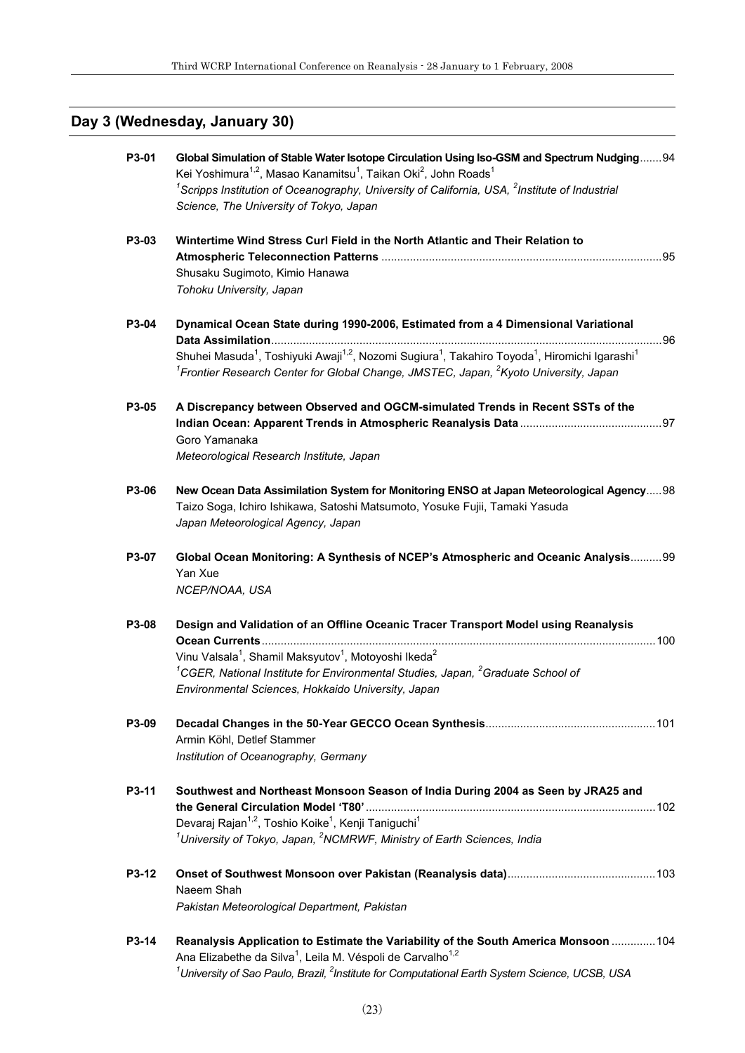## **Day 3 (Wednesday, January 30)**

| P3-01 | Global Simulation of Stable Water Isotope Circulation Using Iso-GSM and Spectrum Nudging 94<br>Kei Yoshimura <sup>1,2</sup> , Masao Kanamitsu <sup>1</sup> , Taikan Oki <sup>2</sup> , John Roads <sup>1</sup><br><sup>1</sup> Scripps Institution of Oceanography, University of California, USA, $2$ Institute of Industrial<br>Science, The University of Tokyo, Japan |  |
|-------|---------------------------------------------------------------------------------------------------------------------------------------------------------------------------------------------------------------------------------------------------------------------------------------------------------------------------------------------------------------------------|--|
| P3-03 | Wintertime Wind Stress Curl Field in the North Atlantic and Their Relation to<br>Shusaku Sugimoto, Kimio Hanawa<br>Tohoku University, Japan                                                                                                                                                                                                                               |  |
| P3-04 | Dynamical Ocean State during 1990-2006, Estimated from a 4 Dimensional Variational<br>Shuhei Masuda <sup>1</sup> , Toshiyuki Awaji <sup>1,2</sup> , Nozomi Sugiura <sup>1</sup> , Takahiro Toyoda <sup>1</sup> , Hiromichi Igarashi <sup>1</sup><br><sup>1</sup> Frontier Research Center for Global Change, JMSTEC, Japan, <sup>2</sup> Kyoto University, Japan          |  |
| P3-05 | A Discrepancy between Observed and OGCM-simulated Trends in Recent SSTs of the<br>Goro Yamanaka<br>Meteorological Research Institute, Japan                                                                                                                                                                                                                               |  |
| P3-06 | New Ocean Data Assimilation System for Monitoring ENSO at Japan Meteorological Agency 98<br>Taizo Soga, Ichiro Ishikawa, Satoshi Matsumoto, Yosuke Fujii, Tamaki Yasuda<br>Japan Meteorological Agency, Japan                                                                                                                                                             |  |
| P3-07 | Global Ocean Monitoring: A Synthesis of NCEP's Atmospheric and Oceanic Analysis99<br>Yan Xue<br>NCEP/NOAA, USA                                                                                                                                                                                                                                                            |  |
| P3-08 | Design and Validation of an Offline Oceanic Tracer Transport Model using Reanalysis<br>Vinu Valsala <sup>1</sup> , Shamil Maksyutov <sup>1</sup> , Motoyoshi Ikeda <sup>2</sup><br><sup>1</sup> CGER, National Institute for Environmental Studies, Japan, <sup>2</sup> Graduate School of<br>Environmental Sciences, Hokkaido University, Japan                          |  |
| P3-09 | Armin Köhl, Detlef Stammer<br>Institution of Oceanography, Germany                                                                                                                                                                                                                                                                                                        |  |
| P3-11 | Southwest and Northeast Monsoon Season of India During 2004 as Seen by JRA25 and<br>Devaraj Rajan <sup>1,2</sup> , Toshio Koike <sup>1</sup> , Kenji Taniguchi <sup>1</sup><br><sup>1</sup> University of Tokyo, Japan, <sup>2</sup> NCMRWF, Ministry of Earth Sciences, India                                                                                            |  |
| P3-12 | Naeem Shah<br>Pakistan Meteorological Department, Pakistan                                                                                                                                                                                                                                                                                                                |  |
| P3-14 | Reanalysis Application to Estimate the Variability of the South America Monsoon  104<br>Ana Elizabethe da Silva <sup>1</sup> , Leila M. Véspoli de Carvalho <sup>1,2</sup><br>$^1$ University of Sao Paulo, Brazil, $^2$ Institute for Computational Earth System Science, UCSB, USA                                                                                      |  |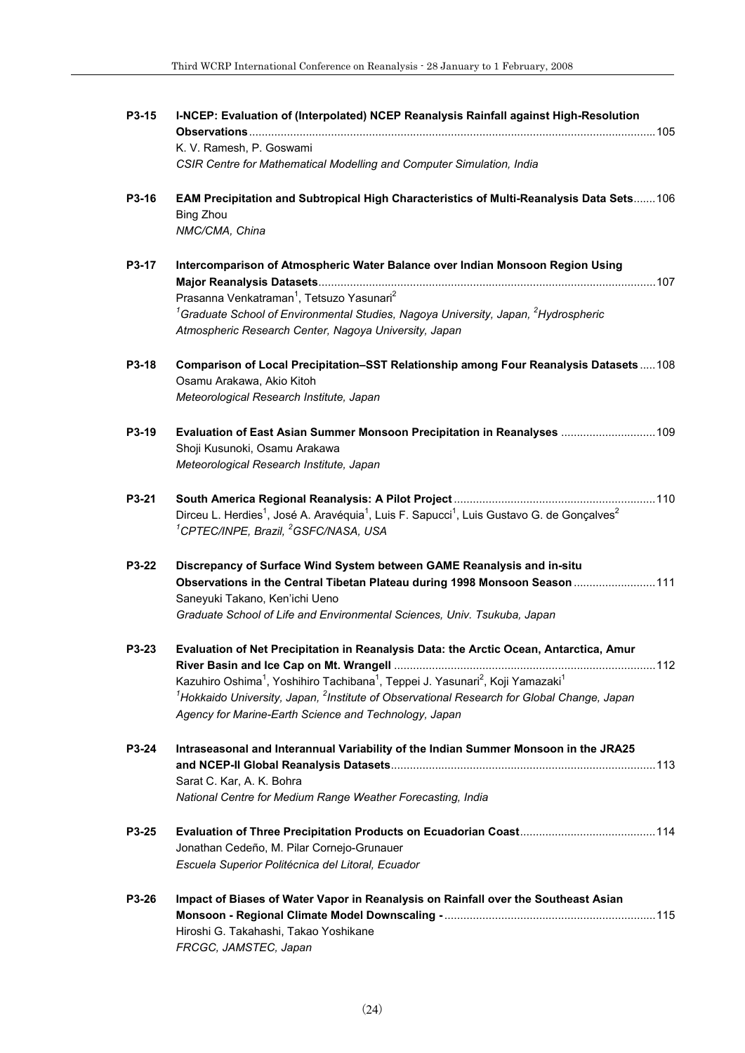| P3-15 | I-NCEP: Evaluation of (Interpolated) NCEP Reanalysis Rainfall against High-Resolution                                                                                                                                                                                                                                                                                                                                                         |
|-------|-----------------------------------------------------------------------------------------------------------------------------------------------------------------------------------------------------------------------------------------------------------------------------------------------------------------------------------------------------------------------------------------------------------------------------------------------|
|       | K. V. Ramesh, P. Goswami<br>CSIR Centre for Mathematical Modelling and Computer Simulation, India                                                                                                                                                                                                                                                                                                                                             |
| P3-16 | EAM Precipitation and Subtropical High Characteristics of Multi-Reanalysis Data Sets 106<br><b>Bing Zhou</b><br>NMC/CMA, China                                                                                                                                                                                                                                                                                                                |
| P3-17 | Intercomparison of Atmospheric Water Balance over Indian Monsoon Region Using<br>Prasanna Venkatraman <sup>1</sup> , Tetsuzo Yasunari <sup>2</sup>                                                                                                                                                                                                                                                                                            |
|       | <sup>1</sup> Graduate School of Environmental Studies, Nagoya University, Japan, <sup>2</sup> Hydrospheric<br>Atmospheric Research Center, Nagoya University, Japan                                                                                                                                                                                                                                                                           |
| P3-18 | Comparison of Local Precipitation-SST Relationship among Four Reanalysis Datasets108<br>Osamu Arakawa, Akio Kitoh<br>Meteorological Research Institute, Japan                                                                                                                                                                                                                                                                                 |
| P3-19 | Evaluation of East Asian Summer Monsoon Precipitation in Reanalyses  109<br>Shoji Kusunoki, Osamu Arakawa<br>Meteorological Research Institute, Japan                                                                                                                                                                                                                                                                                         |
| P3-21 | Dirceu L. Herdies <sup>1</sup> , José A. Aravéquia <sup>1</sup> , Luis F. Sapucci <sup>1</sup> , Luis Gustavo G. de Gonçalves <sup>2</sup><br><sup>1</sup> CPTEC/INPE, Brazil, <sup>2</sup> GSFC/NASA, USA                                                                                                                                                                                                                                    |
| P3-22 | Discrepancy of Surface Wind System between GAME Reanalysis and in-situ<br>Observations in the Central Tibetan Plateau during 1998 Monsoon Season 111<br>Saneyuki Takano, Ken'ichi Ueno<br>Graduate School of Life and Environmental Sciences, Univ. Tsukuba, Japan                                                                                                                                                                            |
| P3-23 | Evaluation of Net Precipitation in Reanalysis Data: the Arctic Ocean, Antarctica, Amur<br>112<br>River Basin and Ice Cap on Mt. Wrangell<br>Kazuhiro Oshima <sup>1</sup> , Yoshihiro Tachibana <sup>1</sup> , Teppei J. Yasunari <sup>2</sup> , Koji Yamazaki <sup>1</sup><br>$^{1}$ Hokkaido University, Japan, $^{2}$ Institute of Observational Research for Global Change, Japan<br>Agency for Marine-Earth Science and Technology, Japan |
| P3-24 | Intraseasonal and Interannual Variability of the Indian Summer Monsoon in the JRA25<br>Sarat C. Kar, A. K. Bohra<br>National Centre for Medium Range Weather Forecasting, India                                                                                                                                                                                                                                                               |
| P3-25 | Jonathan Cedeño, M. Pilar Cornejo-Grunauer<br>Escuela Superior Politécnica del Litoral, Ecuador                                                                                                                                                                                                                                                                                                                                               |
| P3-26 | Impact of Biases of Water Vapor in Reanalysis on Rainfall over the Southeast Asian<br>Hiroshi G. Takahashi, Takao Yoshikane<br>FRCGC, JAMSTEC, Japan                                                                                                                                                                                                                                                                                          |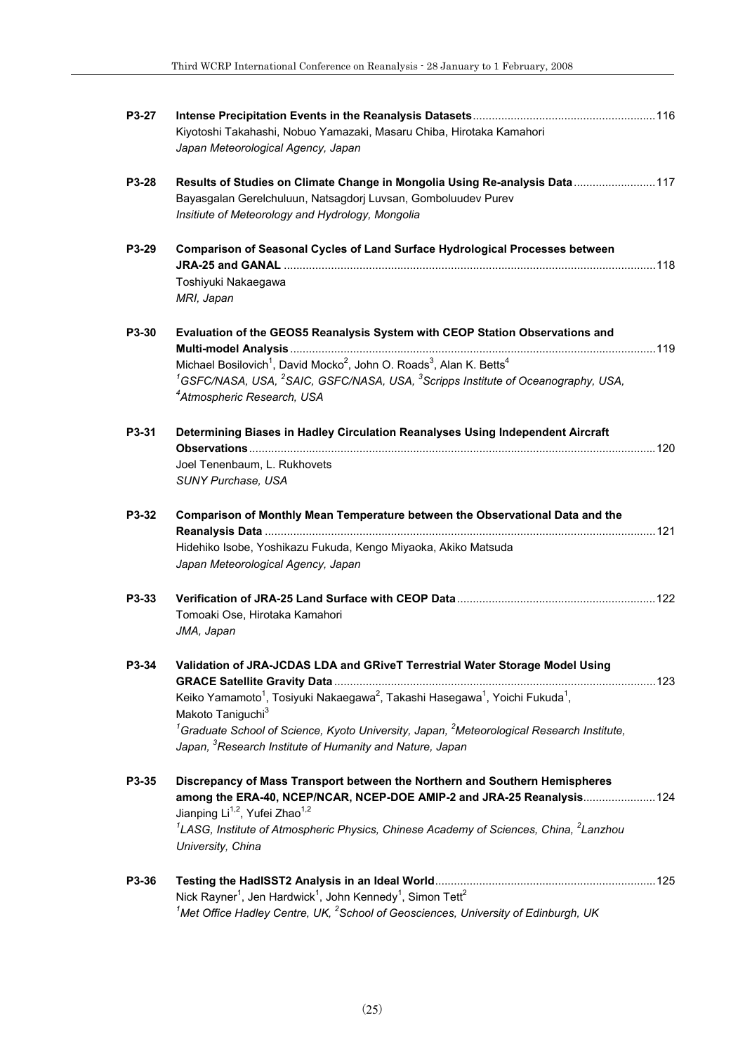| P3-27 |                                                                                                                                                                                                                                                                                                                                                                                                                                    |  |
|-------|------------------------------------------------------------------------------------------------------------------------------------------------------------------------------------------------------------------------------------------------------------------------------------------------------------------------------------------------------------------------------------------------------------------------------------|--|
|       | Kiyotoshi Takahashi, Nobuo Yamazaki, Masaru Chiba, Hirotaka Kamahori<br>Japan Meteorological Agency, Japan                                                                                                                                                                                                                                                                                                                         |  |
| P3-28 | Results of Studies on Climate Change in Mongolia Using Re-analysis Data  117<br>Bayasgalan Gerelchuluun, Natsagdorj Luvsan, Gomboluudev Purev<br>Insitiute of Meteorology and Hydrology, Mongolia                                                                                                                                                                                                                                  |  |
| P3-29 | <b>Comparison of Seasonal Cycles of Land Surface Hydrological Processes between</b>                                                                                                                                                                                                                                                                                                                                                |  |
|       | Toshiyuki Nakaegawa<br>MRI, Japan                                                                                                                                                                                                                                                                                                                                                                                                  |  |
| P3-30 | Evaluation of the GEOS5 Reanalysis System with CEOP Station Observations and                                                                                                                                                                                                                                                                                                                                                       |  |
|       | Michael Bosilovich <sup>1</sup> , David Mocko <sup>2</sup> , John O. Roads <sup>3</sup> , Alan K. Betts <sup>4</sup><br>${}^{1}$ GSFC/NASA, USA, ${}^{2}$ SAIC, GSFC/NASA, USA, ${}^{3}$ Scripps Institute of Oceanography, USA,<br><sup>4</sup> Atmospheric Research, USA                                                                                                                                                         |  |
| P3-31 | Determining Biases in Hadley Circulation Reanalyses Using Independent Aircraft<br>Joel Tenenbaum, L. Rukhovets<br>SUNY Purchase, USA                                                                                                                                                                                                                                                                                               |  |
| P3-32 | Comparison of Monthly Mean Temperature between the Observational Data and the<br>Hidehiko Isobe, Yoshikazu Fukuda, Kengo Miyaoka, Akiko Matsuda<br>Japan Meteorological Agency, Japan                                                                                                                                                                                                                                              |  |
| P3-33 | Tomoaki Ose, Hirotaka Kamahori<br>JMA, Japan                                                                                                                                                                                                                                                                                                                                                                                       |  |
| P3-34 | Validation of JRA-JCDAS LDA and GRiveT Terrestrial Water Storage Model Using<br>Keiko Yamamoto <sup>1</sup> , Tosiyuki Nakaegawa <sup>2</sup> , Takashi Hasegawa <sup>1</sup> , Yoichi Fukuda <sup>1</sup> ,<br>Makoto Taniguchi <sup>3</sup><br>${}^{1}$ Graduate School of Science, Kyoto University, Japan, ${}^{2}$ Meteorological Research Institute,<br>Japan, <sup>3</sup> Research Institute of Humanity and Nature, Japan |  |
| P3-35 | Discrepancy of Mass Transport between the Northern and Southern Hemispheres<br>among the ERA-40, NCEP/NCAR, NCEP-DOE AMIP-2 and JRA-25 Reanalysis 124<br>Jianping Li <sup>1,2</sup> , Yufei Zhao <sup>1,2</sup><br>${}^{1}$ LASG, Institute of Atmospheric Physics, Chinese Academy of Sciences, China, ${}^{2}$ Lanzhou<br>University, China                                                                                      |  |
| P3-36 | Nick Rayner <sup>1</sup> , Jen Hardwick <sup>1</sup> , John Kennedy <sup>1</sup> , Simon Tett <sup>2</sup><br>$1$ Met Office Hadley Centre, UK, $2$ School of Geosciences, University of Edinburgh, UK                                                                                                                                                                                                                             |  |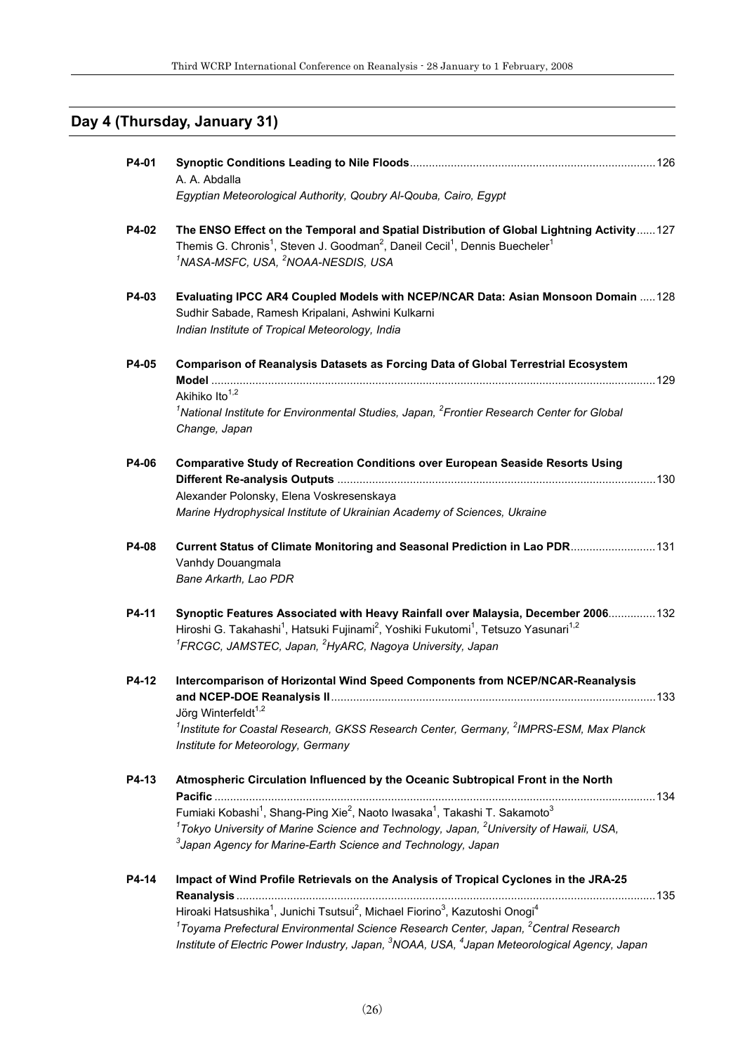## **Day 4 (Thursday, January 31)**

| P4-01        | A. A. Abdalla<br>Egyptian Meteorological Authority, Qoubry Al-Qouba, Cairo, Egypt                                                                                                                                                                                                                                                                                                                                                         |  |
|--------------|-------------------------------------------------------------------------------------------------------------------------------------------------------------------------------------------------------------------------------------------------------------------------------------------------------------------------------------------------------------------------------------------------------------------------------------------|--|
| P4-02        | The ENSO Effect on the Temporal and Spatial Distribution of Global Lightning Activity127<br>Themis G. Chronis <sup>1</sup> , Steven J. Goodman <sup>2</sup> , Daneil Cecil <sup>1</sup> , Dennis Buecheler <sup>1</sup><br><sup>1</sup> NASA-MSFC, USA, <sup>2</sup> NOAA-NESDIS, USA                                                                                                                                                     |  |
| P4-03        | Evaluating IPCC AR4 Coupled Models with NCEP/NCAR Data: Asian Monsoon Domain  128<br>Sudhir Sabade, Ramesh Kripalani, Ashwini Kulkarni<br>Indian Institute of Tropical Meteorology, India                                                                                                                                                                                                                                                 |  |
| P4-05        | Comparison of Reanalysis Datasets as Forcing Data of Global Terrestrial Ecosystem<br>Akihiko Ito <sup>1,2</sup><br><sup>1</sup> National Institute for Environmental Studies, Japan, <sup>2</sup> Frontier Research Center for Global<br>Change, Japan                                                                                                                                                                                    |  |
| P4-06        | <b>Comparative Study of Recreation Conditions over European Seaside Resorts Using</b><br>Alexander Polonsky, Elena Voskresenskaya<br>Marine Hydrophysical Institute of Ukrainian Academy of Sciences, Ukraine                                                                                                                                                                                                                             |  |
| <b>P4-08</b> | Current Status of Climate Monitoring and Seasonal Prediction in Lao PDR 131<br>Vanhdy Douangmala<br>Bane Arkarth, Lao PDR                                                                                                                                                                                                                                                                                                                 |  |
| P4-11        | Synoptic Features Associated with Heavy Rainfall over Malaysia, December 2006 132<br>Hiroshi G. Takahashi <sup>1</sup> , Hatsuki Fujinami <sup>2</sup> , Yoshiki Fukutomi <sup>1</sup> , Tetsuzo Yasunari <sup>1,2</sup><br><sup>1</sup> FRCGC, JAMSTEC, Japan, <sup>2</sup> HyARC, Nagoya University, Japan                                                                                                                              |  |
| P4-12        | Intercomparison of Horizontal Wind Speed Components from NCEP/NCAR-Reanalysis<br>Jörg Winterfeldt <sup>1,2</sup><br><sup>1</sup> Institute for Coastal Research, GKSS Research Center, Germany, <sup>2</sup> IMPRS-ESM, Max Planck<br>Institute for Meteorology, Germany                                                                                                                                                                  |  |
| P4-13        | Atmospheric Circulation Influenced by the Oceanic Subtropical Front in the North<br>Fumiaki Kobashi <sup>1</sup> , Shang-Ping Xie <sup>2</sup> , Naoto Iwasaka <sup>1</sup> , Takashi T. Sakamoto <sup>3</sup><br><sup>1</sup> Tokyo University of Marine Science and Technology, Japan, <sup>2</sup> University of Hawaii, USA,<br><sup>3</sup> Japan Agency for Marine-Earth Science and Technology, Japan                              |  |
| P4-14        | Impact of Wind Profile Retrievals on the Analysis of Tropical Cyclones in the JRA-25<br>Hiroaki Hatsushika <sup>1</sup> , Junichi Tsutsui <sup>2</sup> , Michael Fiorino <sup>3</sup> , Kazutoshi Onogi <sup>4</sup><br>$1$ Toyama Prefectural Environmental Science Research Center, Japan, $2$ Central Research<br>Institute of Electric Power Industry, Japan, <sup>3</sup> NOAA, USA, <sup>4</sup> Japan Meteorological Agency, Japan |  |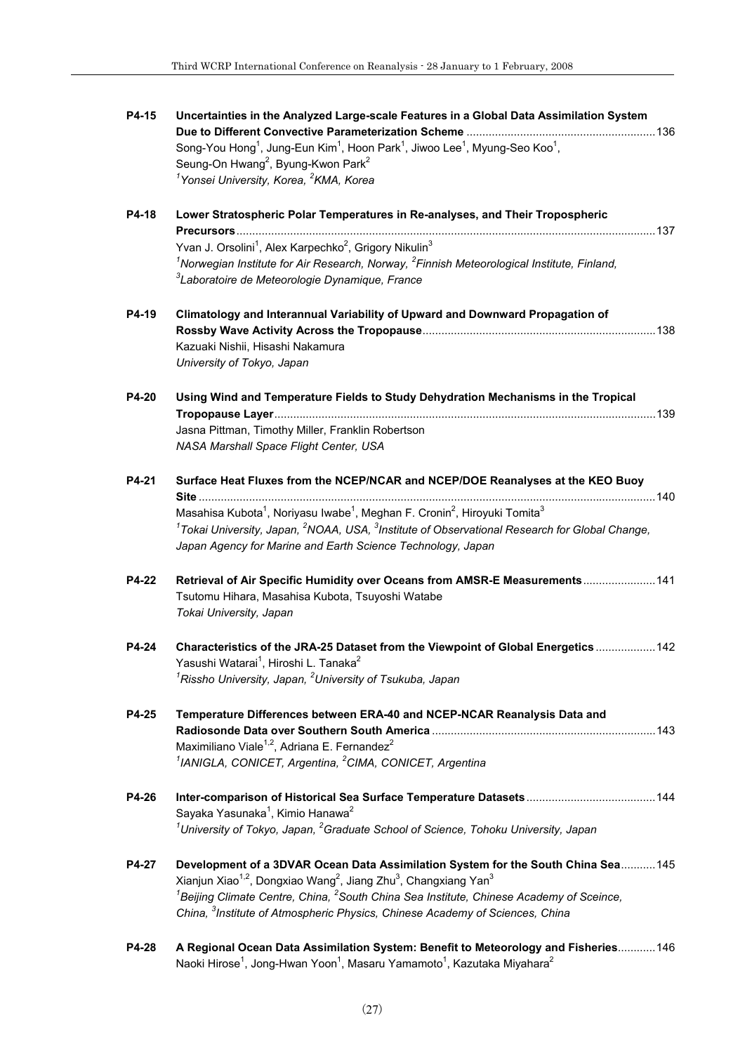| P4-15 | Uncertainties in the Analyzed Large-scale Features in a Global Data Assimilation System                                                 |  |
|-------|-----------------------------------------------------------------------------------------------------------------------------------------|--|
|       | Song-You Hong <sup>1</sup> , Jung-Eun Kim <sup>1</sup> , Hoon Park <sup>1</sup> , Jiwoo Lee <sup>1</sup> , Myung-Seo Koo <sup>1</sup> , |  |
|       | Seung-On Hwang <sup>2</sup> , Byung-Kwon Park <sup>2</sup>                                                                              |  |
|       | <sup>1</sup> Yonsei University, Korea, <sup>2</sup> KMA, Korea                                                                          |  |
| P4-18 | Lower Stratospheric Polar Temperatures in Re-analyses, and Their Tropospheric                                                           |  |
|       | Yvan J. Orsolini <sup>1</sup> , Alex Karpechko <sup>2</sup> , Grigory Nikulin <sup>3</sup>                                              |  |
|       | <sup>1</sup> Norwegian Institute for Air Research, Norway, ${}^{2}$ Finnish Meteorological Institute, Finland,                          |  |
|       | <sup>3</sup> Laboratoire de Meteorologie Dynamique, France                                                                              |  |
| P4-19 | Climatology and Interannual Variability of Upward and Downward Propagation of                                                           |  |
|       |                                                                                                                                         |  |
|       | Kazuaki Nishii, Hisashi Nakamura                                                                                                        |  |
|       | University of Tokyo, Japan                                                                                                              |  |
| P4-20 | Using Wind and Temperature Fields to Study Dehydration Mechanisms in the Tropical                                                       |  |
|       | Jasna Pittman, Timothy Miller, Franklin Robertson                                                                                       |  |
|       |                                                                                                                                         |  |
|       | NASA Marshall Space Flight Center, USA                                                                                                  |  |
| P4-21 | Surface Heat Fluxes from the NCEP/NCAR and NCEP/DOE Reanalyses at the KEO Buoy                                                          |  |
|       | Masahisa Kubota <sup>1</sup> , Noriyasu Iwabe <sup>1</sup> , Meghan F. Cronin <sup>2</sup> , Hiroyuki Tomita <sup>3</sup>               |  |
|       | $1$ Tokai University, Japan, $2$ NOAA, USA, $3$ Institute of Observational Research for Global Change,                                  |  |
|       | Japan Agency for Marine and Earth Science Technology, Japan                                                                             |  |
| P4-22 | Retrieval of Air Specific Humidity over Oceans from AMSR-E Measurements 141                                                             |  |
|       | Tsutomu Hihara, Masahisa Kubota, Tsuyoshi Watabe                                                                                        |  |
|       | Tokai University, Japan                                                                                                                 |  |
| P4-24 | Characteristics of the JRA-25 Dataset from the Viewpoint of Global Energetics  142                                                      |  |
|       | Yasushi Watarai <sup>1</sup> , Hiroshi L. Tanaka <sup>2</sup>                                                                           |  |
|       | $1$ Rissho University, Japan, $2$ University of Tsukuba, Japan                                                                          |  |
| P4-25 | Temperature Differences between ERA-40 and NCEP-NCAR Reanalysis Data and                                                                |  |
|       |                                                                                                                                         |  |
|       | Maximiliano Viale <sup>1,2</sup> , Adriana E. Fernandez <sup>2</sup>                                                                    |  |
|       | <sup>1</sup> IANIGLA, CONICET, Argentina, <sup>2</sup> CIMA, CONICET, Argentina                                                         |  |
| P4-26 |                                                                                                                                         |  |
|       | Sayaka Yasunaka <sup>1</sup> , Kimio Hanawa <sup>2</sup>                                                                                |  |
|       | $1$ University of Tokyo, Japan, $2$ Graduate School of Science, Tohoku University, Japan                                                |  |
| P4-27 | Development of a 3DVAR Ocean Data Assimilation System for the South China Sea 145                                                       |  |
|       | Xianjun Xiao <sup>1,2</sup> , Dongxiao Wang <sup>2</sup> , Jiang Zhu <sup>3</sup> , Changxiang Yan <sup>3</sup>                         |  |
|       | ${}^{1}$ Beijing Climate Centre, China, ${}^{2}$ South China Sea Institute, Chinese Academy of Sceince,                                 |  |
|       | China, <sup>3</sup> Institute of Atmospheric Physics, Chinese Academy of Sciences, China                                                |  |
| P4-28 | A Regional Ocean Data Assimilation System: Benefit to Meteorology and Fisheries 146                                                     |  |
|       | Naoki Hirose <sup>1</sup> , Jong-Hwan Yoon <sup>1</sup> , Masaru Yamamoto <sup>1</sup> , Kazutaka Miyahara <sup>2</sup>                 |  |